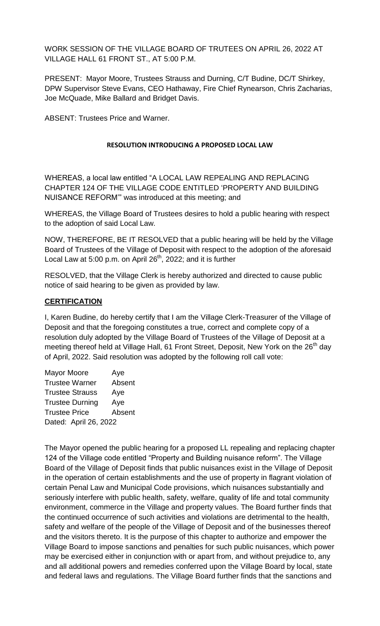WORK SESSION OF THE VILLAGE BOARD OF TRUTEES ON APRIL 26, 2022 AT VILLAGE HALL 61 FRONT ST., AT 5:00 P.M.

PRESENT: Mayor Moore, Trustees Strauss and Durning, C/T Budine, DC/T Shirkey, DPW Supervisor Steve Evans, CEO Hathaway, Fire Chief Rynearson, Chris Zacharias, Joe McQuade, Mike Ballard and Bridget Davis.

ABSENT: Trustees Price and Warner.

### **RESOLUTION INTRODUCING A PROPOSED LOCAL LAW**

WHEREAS, a local law entitled "A LOCAL LAW REPEALING AND REPLACING CHAPTER 124 OF THE VILLAGE CODE ENTITLED 'PROPERTY AND BUILDING NUISANCE REFORM'" was introduced at this meeting; and

WHEREAS, the Village Board of Trustees desires to hold a public hearing with respect to the adoption of said Local Law.

NOW, THEREFORE, BE IT RESOLVED that a public hearing will be held by the Village Board of Trustees of the Village of Deposit with respect to the adoption of the aforesaid Local Law at 5:00 p.m. on April 26<sup>th</sup>, 2022; and it is further

RESOLVED, that the Village Clerk is hereby authorized and directed to cause public notice of said hearing to be given as provided by law.

### **CERTIFICATION**

I, Karen Budine, do hereby certify that I am the Village Clerk-Treasurer of the Village of Deposit and that the foregoing constitutes a true, correct and complete copy of a resolution duly adopted by the Village Board of Trustees of the Village of Deposit at a meeting thereof held at Village Hall, 61 Front Street, Deposit, New York on the 26<sup>th</sup> day of April, 2022. Said resolution was adopted by the following roll call vote:

| <b>Mayor Moore</b>     | Aye    |  |
|------------------------|--------|--|
| <b>Trustee Warner</b>  | Absent |  |
| <b>Trustee Strauss</b> | Aye    |  |
| <b>Trustee Durning</b> | Aye    |  |
| <b>Trustee Price</b>   | Absent |  |
| Dated: April 26, 2022  |        |  |

The Mayor opened the public hearing for a proposed LL repealing and replacing chapter 124 of the Village code entitled "Property and Building nuisance reform". The Village Board of the Village of Deposit finds that public nuisances exist in the Village of Deposit in the operation of certain establishments and the use of property in flagrant violation of certain Penal Law and Municipal Code provisions, which nuisances substantially and seriously interfere with public health, safety, welfare, quality of life and total community environment, commerce in the Village and property values. The Board further finds that the continued occurrence of such activities and violations are detrimental to the health, safety and welfare of the people of the Village of Deposit and of the businesses thereof and the visitors thereto. It is the purpose of this chapter to authorize and empower the Village Board to impose sanctions and penalties for such public nuisances, which power may be exercised either in conjunction with or apart from, and without prejudice to, any and all additional powers and remedies conferred upon the Village Board by local, state and federal laws and regulations. The Village Board further finds that the sanctions and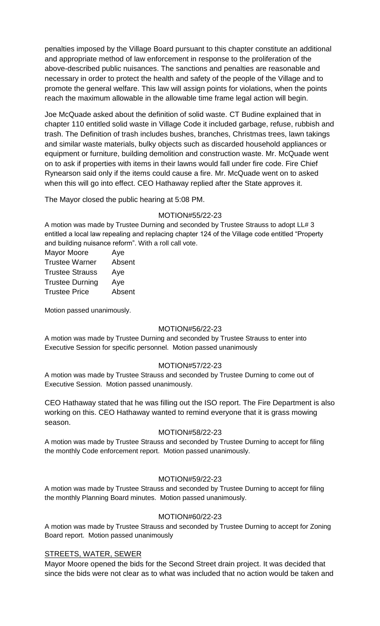penalties imposed by the Village Board pursuant to this chapter constitute an additional and appropriate method of law enforcement in response to the proliferation of the above-described public nuisances. The sanctions and penalties are reasonable and necessary in order to protect the health and safety of the people of the Village and to promote the general welfare. This law will assign points for violations, when the points reach the maximum allowable in the allowable time frame legal action will begin.

Joe McQuade asked about the definition of solid waste. CT Budine explained that in chapter 110 entitled solid waste in Village Code it included garbage, refuse, rubbish and trash. The Definition of trash includes bushes, branches, Christmas trees, lawn takings and similar waste materials, bulky objects such as discarded household appliances or equipment or furniture, building demolition and construction waste. Mr. McQuade went on to ask if properties with items in their lawns would fall under fire code. Fire Chief Rynearson said only if the items could cause a fire. Mr. McQuade went on to asked when this will go into effect. CEO Hathaway replied after the State approves it.

The Mayor closed the public hearing at 5:08 PM.

### MOTION#55/22-23

A motion was made by Trustee Durning and seconded by Trustee Strauss to adopt LL# 3 entitled a local law repealing and replacing chapter 124 of the Village code entitled "Property and building nuisance reform". With a roll call vote.

| <b>Mayor Moore</b>     | Aye    |
|------------------------|--------|
| <b>Trustee Warner</b>  | Absent |
| <b>Trustee Strauss</b> | Aye    |
| <b>Trustee Durning</b> | Aye    |
| <b>Trustee Price</b>   | Absent |
|                        |        |

Motion passed unanimously.

#### MOTION#56/22-23

A motion was made by Trustee Durning and seconded by Trustee Strauss to enter into Executive Session for specific personnel. Motion passed unanimously

## MOTION#57/22-23

A motion was made by Trustee Strauss and seconded by Trustee Durning to come out of Executive Session. Motion passed unanimously.

CEO Hathaway stated that he was filling out the ISO report. The Fire Department is also working on this. CEO Hathaway wanted to remind everyone that it is grass mowing season.

#### MOTION#58/22-23

A motion was made by Trustee Strauss and seconded by Trustee Durning to accept for filing the monthly Code enforcement report. Motion passed unanimously.

## MOTION#59/22-23

A motion was made by Trustee Strauss and seconded by Trustee Durning to accept for filing the monthly Planning Board minutes. Motion passed unanimously.

#### MOTION#60/22-23

A motion was made by Trustee Strauss and seconded by Trustee Durning to accept for Zoning Board report. Motion passed unanimously

#### STREETS, WATER, SEWER

Mayor Moore opened the bids for the Second Street drain project. It was decided that since the bids were not clear as to what was included that no action would be taken and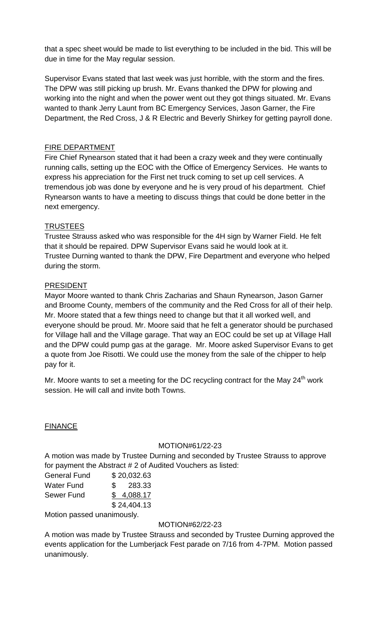that a spec sheet would be made to list everything to be included in the bid. This will be due in time for the May regular session.

Supervisor Evans stated that last week was just horrible, with the storm and the fires. The DPW was still picking up brush. Mr. Evans thanked the DPW for plowing and working into the night and when the power went out they got things situated. Mr. Evans wanted to thank Jerry Launt from BC Emergency Services, Jason Garner, the Fire Department, the Red Cross, J & R Electric and Beverly Shirkey for getting payroll done.

## FIRE DEPARTMENT

Fire Chief Rynearson stated that it had been a crazy week and they were continually running calls, setting up the EOC with the Office of Emergency Services. He wants to express his appreciation for the First net truck coming to set up cell services. A tremendous job was done by everyone and he is very proud of his department. Chief Rynearson wants to have a meeting to discuss things that could be done better in the next emergency.

# **TRUSTEES**

Trustee Strauss asked who was responsible for the 4H sign by Warner Field. He felt that it should be repaired. DPW Supervisor Evans said he would look at it. Trustee Durning wanted to thank the DPW, Fire Department and everyone who helped during the storm.

# PRESIDENT

Mayor Moore wanted to thank Chris Zacharias and Shaun Rynearson, Jason Garner and Broome County, members of the community and the Red Cross for all of their help. Mr. Moore stated that a few things need to change but that it all worked well, and everyone should be proud. Mr. Moore said that he felt a generator should be purchased for Village hall and the Village garage. That way an EOC could be set up at Village Hall and the DPW could pump gas at the garage. Mr. Moore asked Supervisor Evans to get a quote from Joe Risotti. We could use the money from the sale of the chipper to help pay for it.

Mr. Moore wants to set a meeting for the DC recycling contract for the May  $24<sup>th</sup>$  work session. He will call and invite both Towns.

## FINANCE

## MOTION#61/22-23

A motion was made by Trustee Durning and seconded by Trustee Strauss to approve for payment the Abstract # 2 of Audited Vouchers as listed:

| <b>General Fund</b> | \$20,032.63 |
|---------------------|-------------|
| <b>Water Fund</b>   | \$283.33    |
| Sewer Fund          | \$4,088.17  |
|                     | \$24,404.13 |

Motion passed unanimously.

## MOTION#62/22-23

A motion was made by Trustee Strauss and seconded by Trustee Durning approved the events application for the Lumberjack Fest parade on 7/16 from 4-7PM. Motion passed unanimously.